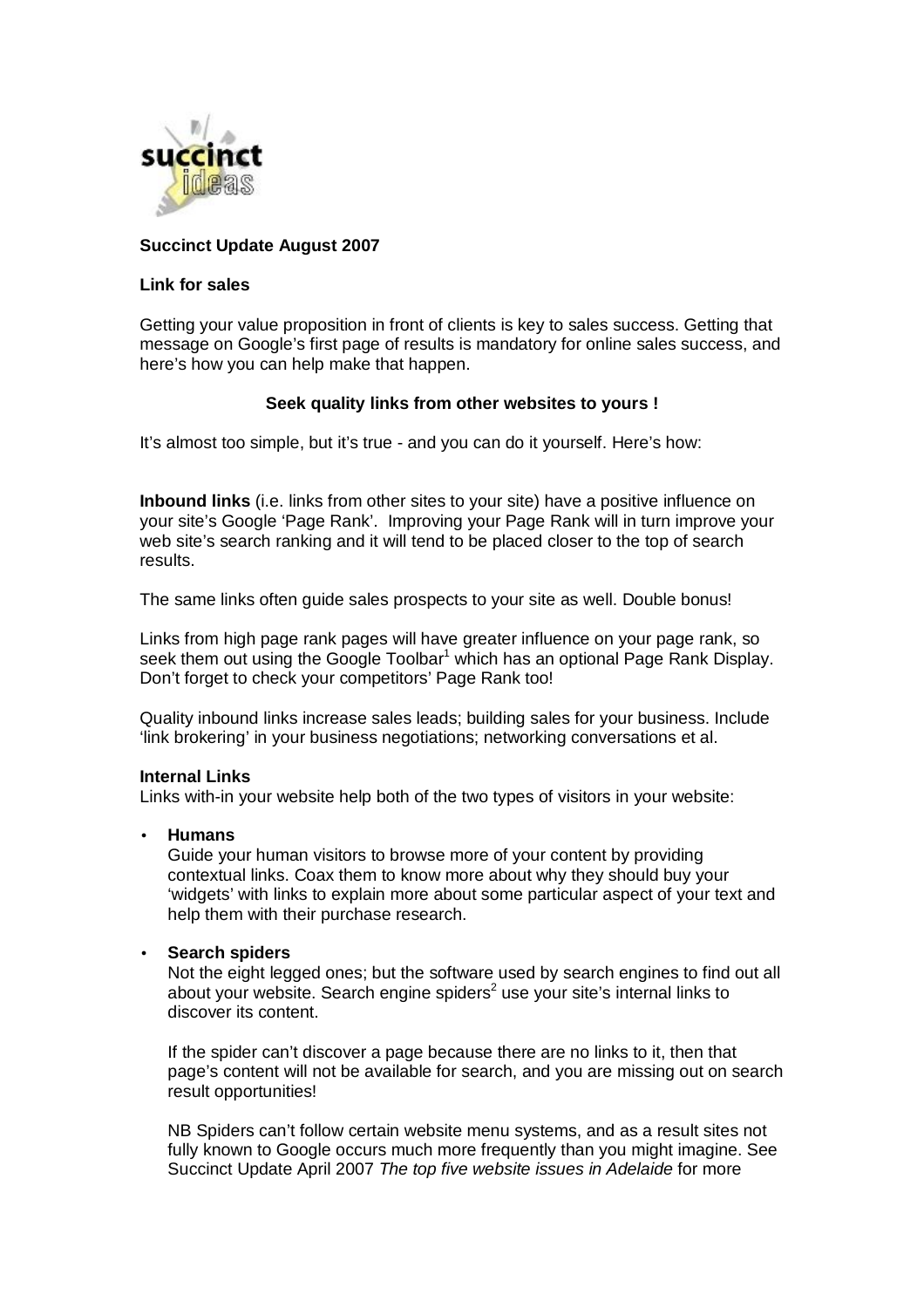

# **Succinct Update August 2007**

### **Link for sales**

Getting your value proposition in front of clients is key to sales success. Getting that message on Google's first page of results is mandatory for online sales success, and here's how you can help make that happen.

## **Seek quality links from other websites to yours !**

It's almost too simple, but it's true - and you can do it yourself. Here's how:

**Inbound links** (i.e. links from other sites to your site) have a positive influence on your site's Google 'Page Rank'. Improving your Page Rank will in turn improve your web site's search ranking and it will tend to be placed closer to the top of search results.

The same links often guide sales prospects to your site as well. Double bonus!

Links from high page rank pages will have greater influence on your page rank, so seek them out using the Google Toolbar<sup>1</sup> which has an optional Page Rank Display. Don't forget to check your competitors' Page Rank too!

Quality inbound links increase sales leads; building sales for your business. Include 'link brokering' in your business negotiations; networking conversations et al.

## **Internal Links**

Links with-in your website help both of the two types of visitors in your website:

• **Humans**

Guide your human visitors to browse more of your content by providing contextual links. Coax them to know more about why they should buy your 'widgets' with links to explain more about some particular aspect of your text and help them with their purchase research.

## • **Search spiders**

Not the eight legged ones; but the software used by search engines to find out all about your website. Search engine spiders<sup>2</sup> use your site's internal links to discover its content.

If the spider can't discover a page because there are no links to it, then that page's content will not be available for search, and you are missing out on search result opportunities!

NB Spiders can't follow certain website menu systems, and as a result sites not fully known to Google occurs much more frequently than you might imagine. See Succinct Update April 2007 *The top five website issues in Adelaide* for more